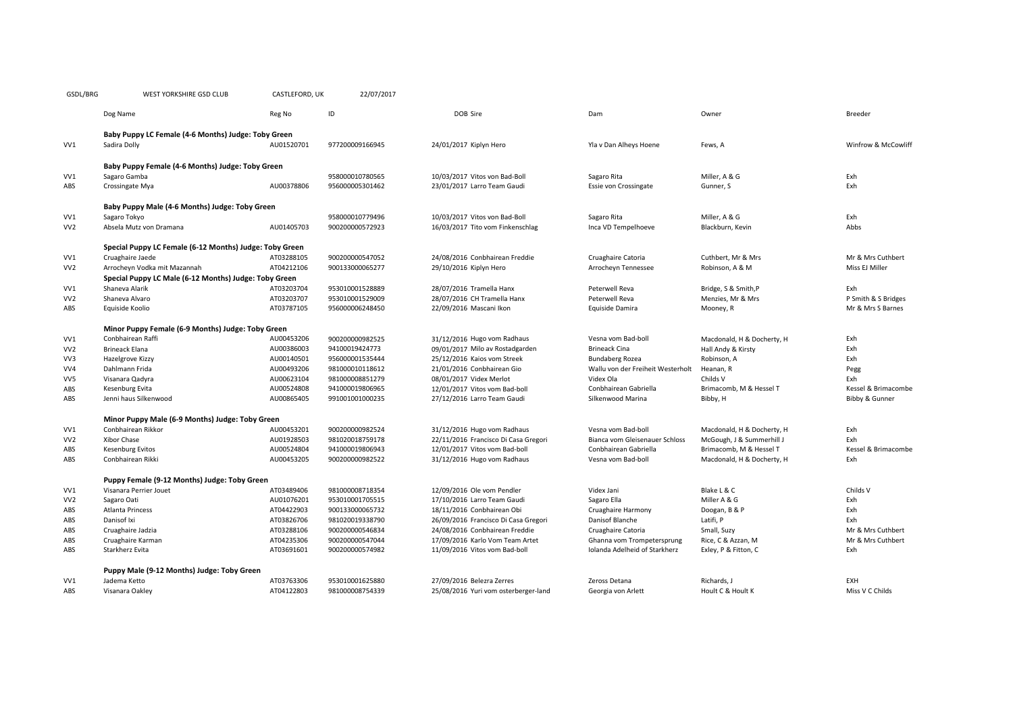| GSDL/BRG | WEST YORKSHIRE GSD CLUB | CASTLEFORD, UK | 22/07/2017 |
|----------|-------------------------|----------------|------------|
|----------|-------------------------|----------------|------------|

|                 | Dog Name                                                | Reg No     | ID              | DOB Sire                             | Dam                               | Owner                      | Breeder             |  |
|-----------------|---------------------------------------------------------|------------|-----------------|--------------------------------------|-----------------------------------|----------------------------|---------------------|--|
|                 | Baby Puppy LC Female (4-6 Months) Judge: Toby Green     |            |                 |                                      |                                   |                            |                     |  |
| VV1             | Sadira Dolly                                            | AU01520701 | 977200009166945 | 24/01/2017 Kiplyn Hero               | Yla v Dan Alheys Hoene            | Fews, A                    | Winfrow & McCowliff |  |
|                 | Baby Puppy Female (4-6 Months) Judge: Toby Green        |            |                 |                                      |                                   |                            |                     |  |
| VV1             | Sagaro Gamba                                            |            | 958000010780565 | 10/03/2017 Vitos von Bad-Boll        | Sagaro Rita                       | Miller, A & G              | Exh                 |  |
| ABS             | Crossingate Mya                                         | AU00378806 | 956000005301462 | 23/01/2017 Larro Team Gaudi          | Essie von Crossingate             | Gunner, S                  | Fxh                 |  |
|                 | Baby Puppy Male (4-6 Months) Judge: Toby Green          |            |                 |                                      |                                   |                            |                     |  |
| VV1             | Sagaro Tokyo                                            |            | 958000010779496 | 10/03/2017 Vitos von Bad-Boll        | Sagaro Rita                       | Miller, A & G              | Exh                 |  |
| VV <sub>2</sub> | Absela Mutz von Dramana                                 | AU01405703 | 900200000572923 | 16/03/2017 Tito vom Finkenschlag     | Inca VD Tempelhoeve               | Blackburn, Kevin           | Abbs                |  |
|                 | Special Puppy LC Female (6-12 Months) Judge: Toby Green |            |                 |                                      |                                   |                            |                     |  |
| VV1             | Cruaghaire Jaede                                        | AT03288105 | 900200000547052 | 24/08/2016 Conbhairean Freddie       | Cruaghaire Catoria                | Cuthbert, Mr & Mrs         | Mr & Mrs Cuthbert   |  |
| VV <sub>2</sub> | Arrocheyn Vodka mit Mazannah                            | AT04212106 | 900133000065277 | 29/10/2016 Kiplyn Hero               | Arrocheyn Tennessee               | Robinson, A & M            | Miss EJ Miller      |  |
|                 | Special Puppy LC Male (6-12 Months) Judge: Toby Green   |            |                 |                                      |                                   |                            |                     |  |
| VV1             | Shaneva Alarik                                          | AT03203704 | 953010001528889 | 28/07/2016 Tramella Hanx             | Peterwell Reva                    | Bridge, S & Smith, P       | Exh                 |  |
| VV <sub>2</sub> | Shaneva Alvaro                                          | AT03203707 | 953010001529009 | 28/07/2016 CH Tramella Hanx          | Peterwell Reva                    | Menzies, Mr & Mrs          | P Smith & S Bridges |  |
| ABS             | Equiside Koolio                                         | AT03787105 | 956000006248450 | 22/09/2016 Mascani Ikon              | Equiside Damira                   | Mooney, R                  | Mr & Mrs S Barnes   |  |
|                 | Minor Puppy Female (6-9 Months) Judge: Toby Green       |            |                 |                                      |                                   |                            |                     |  |
| VV1             | Conbhairean Raffi                                       | AU00453206 | 900200000982525 | 31/12/2016 Hugo vom Radhaus          | Vesna vom Bad-boll                | Macdonald, H & Docherty, H | Exh                 |  |
| VV <sub>2</sub> | <b>Brineack Elana</b>                                   | AU00386003 | 94100019424773  | 09/01/2017 Milo av Rostadgarden      | <b>Brineack Cina</b>              | Hall Andy & Kirsty         | Exh                 |  |
| VV3             | Hazelgrove Kizzy                                        | AU00140501 | 956000001535444 | 25/12/2016 Kaios vom Streek          | <b>Bundaberg Rozea</b>            | Robinson, A                | Exh                 |  |
| VV4             | Dahlmann Frida                                          | AU00493206 | 981000010118612 | 21/01/2016 Conbhairean Gio           | Wallu von der Freiheit Westerholt | Heanan, R                  | Pegg                |  |
| VV5             | Visanara Qadyra                                         | AU00623104 | 981000008851279 | 08/01/2017 Videx Merlot              | Videx Ola                         | Childs V                   | Exh                 |  |
| ABS             | Kesenburg Evita                                         | AU00524808 | 941000019806965 | 12/01/2017 Vitos vom Bad-boll        | Conbhairean Gabriella             | Brimacomb, M & Hessel T    | Kessel & Brimacombe |  |
| ABS             | Jenni haus Silkenwood                                   | AU00865405 | 991001001000235 | 27/12/2016 Larro Team Gaudi          | Silkenwood Marina                 | Bibby, H                   | Bibby & Gunner      |  |
|                 | Minor Puppy Male (6-9 Months) Judge: Toby Green         |            |                 |                                      |                                   |                            |                     |  |
| VV1             | Conbhairean Rikkor                                      | AU00453201 | 900200000982524 | 31/12/2016 Hugo vom Radhaus          | Vesna vom Bad-boll                | Macdonald, H & Docherty, H | Exh                 |  |
| VV <sub>2</sub> | Xibor Chase                                             | AU01928503 | 981020018759178 | 22/11/2016 Francisco Di Casa Gregori | Bianca vom Gleisenauer Schloss    | McGough, J & Summerhill J  | Exh                 |  |
| ABS             | <b>Kesenburg Evitos</b>                                 | AU00524804 | 941000019806943 | 12/01/2017 Vitos vom Bad-boll        | Conbhairean Gabriella             | Brimacomb, M & Hessel T    | Kessel & Brimacombe |  |
| ABS             | Conbhairean Rikki                                       | AU00453205 | 900200000982522 | 31/12/2016 Hugo vom Radhaus          | Vesna vom Bad-boll                | Macdonald, H & Docherty, H | Exh                 |  |
|                 | Puppy Female (9-12 Months) Judge: Toby Green            |            |                 |                                      |                                   |                            |                     |  |
| VV1             | Visanara Perrier Jouet                                  | AT03489406 | 981000008718354 | 12/09/2016 Ole vom Pendler           | Videx Jani                        | Blake L & C                | Childs V            |  |
| VV <sub>2</sub> | Sagaro Oati                                             | AU01076201 | 953010001705515 | 17/10/2016 Larro Team Gaudi          | Sagaro Ella                       | Miller A & G               | Exh                 |  |
| ABS             | <b>Atlanta Princess</b>                                 | AT04422903 | 900133000065732 | 18/11/2016 Conbhairean Obi           | Cruaghaire Harmony                | Doogan, B & P              | Exh                 |  |
| ABS             | Danisof Ixi                                             | AT03826706 | 981020019338790 | 26/09/2016 Francisco Di Casa Gregori | Danisof Blanche                   | Latifi, P                  | Fxh                 |  |
| ABS             | Cruaghaire Jadzia                                       | AT03288106 | 900200000546834 | 24/08/2016 Conbhairean Freddie       | Cruaghaire Catoria                | Small, Suzy                | Mr & Mrs Cuthbert   |  |
| ABS             | Cruaghaire Karman                                       | AT04235306 | 900200000547044 | 17/09/2016 Karlo Vom Team Artet      | Ghanna vom Trompetersprung        | Rice, C & Azzan, M         | Mr & Mrs Cuthbert   |  |
| ABS             | Starkherz Evita                                         | AT03691601 | 900200000574982 | 11/09/2016 Vitos vom Bad-boll        | Iolanda Adelheid of Starkherz     | Exley, P & Fitton, C       | Exh                 |  |
|                 |                                                         |            |                 |                                      |                                   |                            |                     |  |

|            | Puppy Male (9-12 Months) Judge: Toby Green |            |                 |                                      |                    |                   |                 |  |
|------------|--------------------------------------------|------------|-----------------|--------------------------------------|--------------------|-------------------|-----------------|--|
|            | Jadema Ketto                               | AT03763306 | 953010001625880 | 27/09/2016 Belezra Zerres            | Zeross Detana      | Richards,.        | EXH             |  |
| <b>\BS</b> | Visanara Oaklev                            | AT04122803 | 981000008754339 | 25/08/2016 Yuri vom osterberger-land | Georgia von Arlett | Hoult C & Hoult K | Miss V C Childs |  |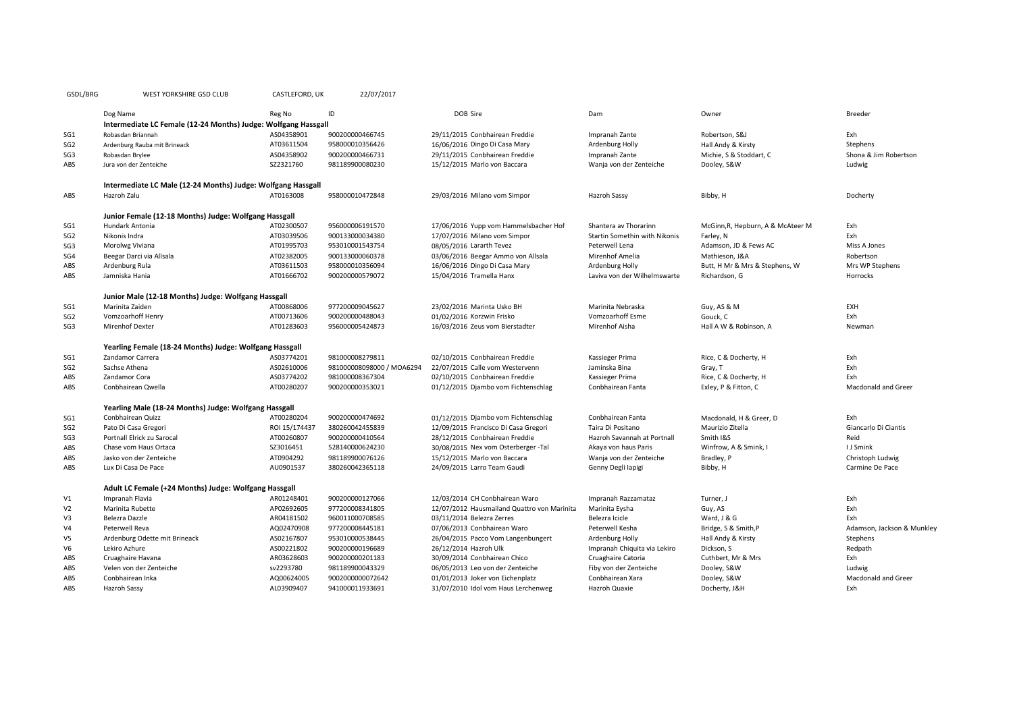| GSDL/BRG        | WEST YORKSHIRE GSD CLUB                                        | CASTLEFORD, UK | 22/07/2017                |                                             |                               |                                   |                            |
|-----------------|----------------------------------------------------------------|----------------|---------------------------|---------------------------------------------|-------------------------------|-----------------------------------|----------------------------|
|                 | Dog Name                                                       | Reg No         | ID                        | DOB Sire                                    | Dam                           | Owner                             | <b>Breeder</b>             |
|                 | Intermediate LC Female (12-24 Months) Judge: Wolfgang Hassgall |                |                           |                                             |                               |                                   |                            |
| SG <sub>1</sub> | Robasdan Briannah                                              | AS04358901     | 900200000466745           | 29/11/2015 Conbhairean Freddie              | Impranah Zante                | Robertson, S&J                    | Exh                        |
| SG <sub>2</sub> | Ardenburg Rauba mit Brineack                                   | AT03611504     | 958000010356426           | 16/06/2016 Dingo Di Casa Mary               | Ardenburg Holly               | Hall Andy & Kirsty                | Stephens                   |
| SG <sub>3</sub> | Robasdan Brylee                                                | AS04358902     | 900200000466731           | 29/11/2015 Conbhairean Freddie              | Impranah Zante                | Michie, S & Stoddart, C           | Shona & Jim Robertson      |
| ABS             | Jura von der Zenteiche                                         | SZ2321760      | 981189900080230           | 15/12/2015 Marlo von Baccara                | Wanja von der Zenteiche       | Dooley, S&W                       | Ludwig                     |
|                 | Intermediate LC Male (12-24 Months) Judge: Wolfgang Hassgall   |                |                           |                                             |                               |                                   |                            |
| ABS             | Hazroh Zalu                                                    | AT0163008      | 958000010472848           | 29/03/2016 Milano vom Simpor                | Hazroh Sassy                  | Bibby, H                          | Docherty                   |
|                 | Junior Female (12-18 Months) Judge: Wolfgang Hassgall          |                |                           |                                             |                               |                                   |                            |
| SG1             | Hundark Antonia                                                | AT02300507     | 956000006191570           | 17/06/2016 Yupp vom Hammelsbacher Hof       | Shantera av Thorarinn         | McGinn, R, Hepburn, A & McAteer M | Exh                        |
| SG <sub>2</sub> | Nikonis Indra                                                  | AT03039506     | 900133000034380           | 17/07/2016 Milano vom Simpor                | Startin Somethin with Nikonis | Farley, N                         | Exh                        |
| SG <sub>3</sub> | Morolwg Viviana                                                | AT01995703     | 953010001543754           | 08/05/2016 Lararth Tevez                    | Peterwell Lena                | Adamson, JD & Fews AC             | Miss A Jones               |
| SG4             | Beegar Darci via Allsala                                       | AT02382005     | 900133000060378           | 03/06/2016 Beegar Ammo von Allsala          | Mirenhof Amelia               | Mathieson, J&A                    | Robertson                  |
| ABS             | Ardenburg Rula                                                 | AT03611503     | 958000010356094           | 16/06/2016 Dingo Di Casa Mary               | Ardenburg Holly               | Butt, H Mr & Mrs & Stephens, W    | Mrs WP Stephens            |
| ABS             | Jamniska Hania                                                 | AT01666702     | 900200000579072           | 15/04/2016 Tramella Hanx                    | Laviva von der Wilhelmswarte  | Richardson, G                     | Horrocks                   |
|                 | Junior Male (12-18 Months) Judge: Wolfgang Hassgall            |                |                           |                                             |                               |                                   |                            |
| SG <sub>1</sub> | Marinita Zaiden                                                | AT00868006     | 977200009045627           | 23/02/2016 Marinta Usko BH                  | Marinita Nebraska             | Guy, AS & M                       | EXH                        |
| SG <sub>2</sub> | Vomzoarhoff Henry                                              | AT00713606     | 900200000488043           | 01/02/2016 Korzwin Frisko                   | Vomzoarhoff Esme              | Gouck, C                          | Exh                        |
| SG3             | <b>Mirenhof Dexter</b>                                         | AT01283603     | 956000005424873           | 16/03/2016 Zeus vom Bierstadter             | Mirenhof Aisha                | Hall A W & Robinson, A            | Newman                     |
|                 | Yearling Female (18-24 Months) Judge: Wolfgang Hassgall        |                |                           |                                             |                               |                                   |                            |
| SG <sub>1</sub> | Zandamor Carrera                                               | AS03774201     | 981000008279811           | 02/10/2015 Conbhairean Freddie              | Kassieger Prima               | Rice, C & Docherty, H             | Exh                        |
| SG <sub>2</sub> | Sachse Athena                                                  | AS02610006     | 981000008098000 / MOA6294 | 22/07/2015 Calle vom Westervenn             | Jaminska Bina                 | Gray, T                           | Exh                        |
| ABS             | Zandamor Cora                                                  | AS03774202     | 981000008367304           | 02/10/2015 Conbhairean Freddie              | Kassieger Prima               | Rice, C & Docherty, H             | Exh                        |
| ABS             | Conbhairean Qwella                                             | AT00280207     | 900200000353021           | 01/12/2015 Djambo vom Fichtenschlag         | Conbhairean Fanta             | Exley, P & Fitton, C              | Macdonald and Greer        |
|                 | Yearling Male (18-24 Months) Judge: Wolfgang Hassgall          |                |                           |                                             |                               |                                   |                            |
| SG <sub>1</sub> | Conbhairean Quizz                                              | AT00280204     | 900200000474692           | 01/12/2015 Djambo vom Fichtenschlag         | Conbhairean Fanta             | Macdonald, H & Greer, D           | Exh                        |
| SG <sub>2</sub> | Pato Di Casa Gregori                                           | ROI 15/174437  | 380260042455839           | 12/09/2015 Francisco Di Casa Gregori        | Taira Di Positano             | Maurizio Zitella                  | Giancarlo Di Ciantis       |
| SG3             | Portnall Elrick zu Sarocal                                     | AT00260807     | 900200000410564           | 28/12/2015 Conbhairean Freddie              | Hazroh Savannah at Portnall   | Smith I&S                         | Reid                       |
| ABS             | Chase vom Haus Ortaca                                          | SZ3016451      | 528140000624230           | 30/08/2015 Nex vom Osterberger -Tal         | Akaya von haus Paris          | Winfrow, A & Smink, I             | I J Smink                  |
| ABS             | Jasko von der Zenteiche                                        | AT0904292      | 981189900076126           | 15/12/2015 Marlo von Baccara                | Wanja von der Zenteiche       | Bradley, P                        | Christoph Ludwig           |
| ABS             | Lux Di Casa De Pace                                            | AU0901537      | 380260042365118           | 24/09/2015 Larro Team Gaudi                 | Genny Degli lapigi            | Bibby, H                          | Carmine De Pace            |
|                 | Adult LC Female (+24 Months) Judge: Wolfgang Hassgall          |                |                           |                                             |                               |                                   |                            |
| V1              | Impranah Flavia                                                | AR01248401     | 900200000127066           | 12/03/2014 CH Conbhairean Waro              | Impranah Razzamataz           | Turner, J                         | Exh                        |
| V <sub>2</sub>  | Marinita Rubette                                               | AP02692605     | 977200008341805           | 12/07/2012 Hausmailand Quattro von Marinita | Marinita Eysha                | Guy, AS                           | Exh                        |
| V3              | Belezra Dazzle                                                 | AR04181502     | 960011000708585           | 03/11/2014 Belezra Zerres                   | Belezra Icicle                | Ward, J & G                       | Exh                        |
| V <sub>4</sub>  | Peterwell Reva                                                 | AQ02470908     | 977200008445181           | 07/06/2013 Conbhairean Waro                 | Peterwell Kesha               | Bridge, S & Smith, P              | Adamson, Jackson & Munkley |
| V5              | Ardenburg Odette mit Brineack                                  | AS02167807     | 953010000538445           | 26/04/2015 Pacco Vom Langenbungert          | Ardenburg Holly               | Hall Andy & Kirsty                | Stephens                   |
| V <sub>6</sub>  | Lekiro Azhure                                                  | AS00221802     | 900200000196689           | 26/12/2014 Hazroh Ulk                       | Impranah Chiquita via Lekiro  | Dickson, S                        | Redpath                    |
| ABS             | Cruaghaire Havana                                              | AR03628603     | 900200000201183           | 30/09/2014 Conbhairean Chico                | Cruaghaire Catoria            | Cuthbert, Mr & Mrs                | Exh                        |
| ABS             | Velen von der Zenteiche                                        | sv2293780      | 981189900043329           | 06/05/2013 Leo von der Zenteiche            | Fiby von der Zenteiche        | Dooley, S&W                       | Ludwig                     |
| ABS             | Conbhairean Inka                                               | AQ00624005     | 9002000000072642          | 01/01/2013 Joker von Eichenplatz            | Conbhairean Xara              | Dooley, S&W                       | Macdonald and Greer        |
| ABS             | Hazroh Sassy                                                   | AL03909407     | 941000011933691           | 31/07/2010 Idol vom Haus Lerchenweg         | Hazroh Quaxie                 | Docherty, J&H                     | Exh                        |